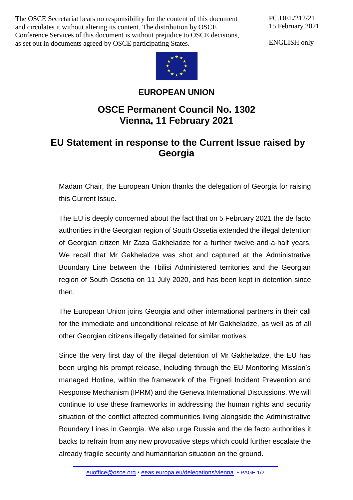The OSCE Secretariat bears no responsibility for the content of this document and circulates it without altering its content. The distribution by OSCE Conference Services of this document is without prejudice to OSCE decisions, as set out in documents agreed by OSCE participating States.

PC.DEL/212/21 15 February 2021

ENGLISH only



## **EUROPEAN UNION**

## **OSCE Permanent Council No. 1302 Vienna, 11 February 2021**

## **EU Statement in response to the Current Issue raised by Georgia**

Madam Chair, the European Union thanks the delegation of Georgia for raising this Current Issue.

The EU is deeply concerned about the fact that on 5 February 2021 the de facto authorities in the Georgian region of South Ossetia extended the illegal detention of Georgian citizen Mr Zaza Gakheladze for a further twelve-and-a-half years. We recall that Mr Gakheladze was shot and captured at the Administrative Boundary Line between the Tbilisi Administered territories and the Georgian region of South Ossetia on 11 July 2020, and has been kept in detention since then.

The European Union joins Georgia and other international partners in their call for the immediate and unconditional release of Mr Gakheladze, as well as of all other Georgian citizens illegally detained for similar motives.

Since the very first day of the illegal detention of Mr Gakheladze, the EU has been urging his prompt release, including through the EU Monitoring Mission's managed Hotline, within the framework of the Ergneti Incident Prevention and Response Mechanism (IPRM) and the Geneva International Discussions. We will continue to use these frameworks in addressing the human rights and security situation of the conflict affected communities living alongside the Administrative Boundary Lines in Georgia. We also urge Russia and the de facto authorities it backs to refrain from any new provocative steps which could further escalate the already fragile security and humanitarian situation on the ground.